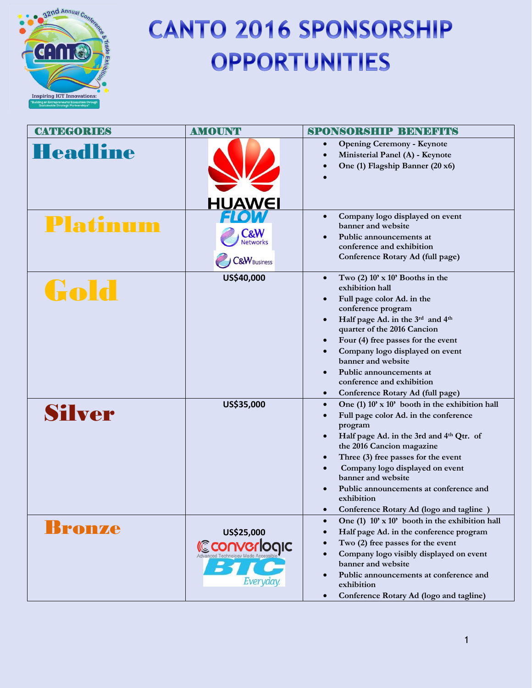

# **CANTO 2016 SPONSORSHIP OPPORTUNITIES**

| <b>CATEGORIES</b> | <b>AMOUNT</b>                                                | <b>SPONSORSHIP BENEFICIS</b>                                                                                                                                                                                                                                                                                                                                                                                                                                      |
|-------------------|--------------------------------------------------------------|-------------------------------------------------------------------------------------------------------------------------------------------------------------------------------------------------------------------------------------------------------------------------------------------------------------------------------------------------------------------------------------------------------------------------------------------------------------------|
| <b>Headline</b>   | <b>HUAWEI</b>                                                | <b>Opening Ceremony - Keynote</b><br>$\bullet$<br>Ministerial Panel (A) - Keynote<br>One (1) Flagship Banner (20 x6)                                                                                                                                                                                                                                                                                                                                              |
| Platinum          | <b>C&amp;W</b><br><b>Networks</b><br><b>C&amp;W</b> Business | Company logo displayed on event<br>$\bullet$<br>banner and website<br>Public announcements at<br>conference and exhibition<br>Conference Rotary Ad (full page)                                                                                                                                                                                                                                                                                                    |
| Gold              | US\$40,000                                                   | Two $(2)$ 10' x 10' Booths in the<br>$\bullet$<br>exhibition hall<br>Full page color Ad. in the<br>$\bullet$<br>conference program<br>Half page Ad. in the 3rd and 4th<br>$\bullet$<br>quarter of the 2016 Cancion<br>Four (4) free passes for the event<br>$\bullet$<br>Company logo displayed on event<br>$\bullet$<br>banner and website<br>Public announcements at<br>$\bullet$<br>conference and exhibition<br>Conference Rotary Ad (full page)<br>$\bullet$ |
| Silver            | US\$35,000                                                   | One (1) 10' x 10' booth in the exhibition hall<br>$\bullet$<br>Full page color Ad. in the conference<br>$\bullet$<br>program<br>Half page Ad. in the 3rd and 4th Qtr. of<br>the 2016 Cancion magazine<br>Three (3) free passes for the event<br>$\bullet$<br>Company logo displayed on event<br>$\bullet$<br>banner and website<br>Public announcements at conference and<br>$\bullet$<br>exhibition<br>Conference Rotary Ad (logo and tagline)                   |
| Bronze            | US\$25,000<br><i><b>Converlogic</b></i><br>Everyday.         | One (1) 10' x 10' booth in the exhibition hall<br>Half page Ad. in the conference program<br>Two (2) free passes for the event<br>Company logo visibly displayed on event<br>$\bullet$<br>banner and website<br>Public announcements at conference and<br>$\bullet$<br>exhibition<br>Conference Rotary Ad (logo and tagline)<br>$\bullet$                                                                                                                         |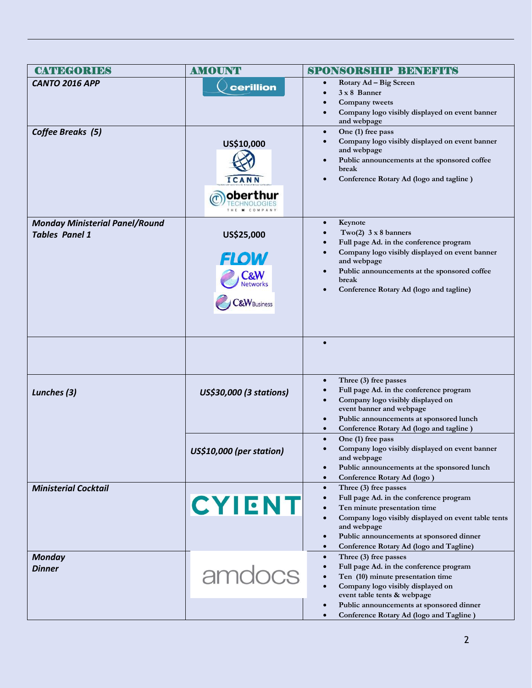| <b>CATEGORIES</b>                                              | <b>AMOUNT</b>                                                           | <b>SPONSORSHIP BENEFITS</b>                                                                                                                                                                                                                                                                                       |
|----------------------------------------------------------------|-------------------------------------------------------------------------|-------------------------------------------------------------------------------------------------------------------------------------------------------------------------------------------------------------------------------------------------------------------------------------------------------------------|
| <b>CANTO 2016 APP</b>                                          | cerillion                                                               | Rotary Ad - Big Screen<br>$\bullet$<br>$3 \times 8$ Banner<br>Company tweets<br>Company logo visibly displayed on event banner<br>and webpage                                                                                                                                                                     |
| Coffee Breaks (5)                                              | US\$10,000<br>ICANN<br>oberthu                                          | One (1) free pass<br>$\bullet$<br>Company logo visibly displayed on event banner<br>$\bullet$<br>and webpage<br>Public announcements at the sponsored coffee<br>$\bullet$<br>break<br>Conference Rotary Ad (logo and tagline)                                                                                     |
| <b>Monday Ministerial Panel/Round</b><br><b>Tables Panel 1</b> | US\$25,000<br><b>FLOW</b><br><b>Networks</b><br><b>C&amp;W</b> Business | Keynote<br>$\bullet$<br>Two(2) $3 \times 8$ banners<br>Full page Ad. in the conference program<br>Company logo visibly displayed on event banner<br>and webpage<br>Public announcements at the sponsored coffee<br>$\bullet$<br>break<br>Conference Rotary Ad (logo and tagline)                                  |
|                                                                |                                                                         | $\bullet$                                                                                                                                                                                                                                                                                                         |
| Lunches (3)                                                    | US\$30,000 (3 stations)                                                 | Three (3) free passes<br>$\bullet$<br>Full page Ad. in the conference program<br>Company logo visibly displayed on<br>event banner and webpage<br>Public announcements at sponsored lunch<br>$\bullet$<br>Conference Rotary Ad (logo and tagline)                                                                 |
|                                                                | US\$10,000 (per station)                                                | One (1) free pass<br>$\bullet$<br>Company logo visibly displayed on event banner<br>and webpage<br>Public announcements at the sponsored lunch<br>$\bullet$<br>Conference Rotary Ad (logo)<br>$\bullet$                                                                                                           |
| <b>Ministerial Cocktail</b>                                    | <b>CYIENT</b>                                                           | Three (3) free passes<br>$\bullet$<br>Full page Ad. in the conference program<br>Ten minute presentation time<br>Company logo visibly displayed on event table tents<br>$\bullet$<br>and webpage<br>Public announcements at sponsored dinner<br>$\bullet$<br>Conference Rotary Ad (logo and Tagline)<br>$\bullet$ |
| <b>Monday</b><br><b>Dinner</b>                                 | amdocs                                                                  | Three (3) free passes<br>$\bullet$<br>Full page Ad. in the conference program<br>Ten (10) minute presentation time<br>Company logo visibly displayed on<br>event table tents & webpage<br>Public announcements at sponsored dinner                                                                                |
|                                                                |                                                                         | Conference Rotary Ad (logo and Tagline)                                                                                                                                                                                                                                                                           |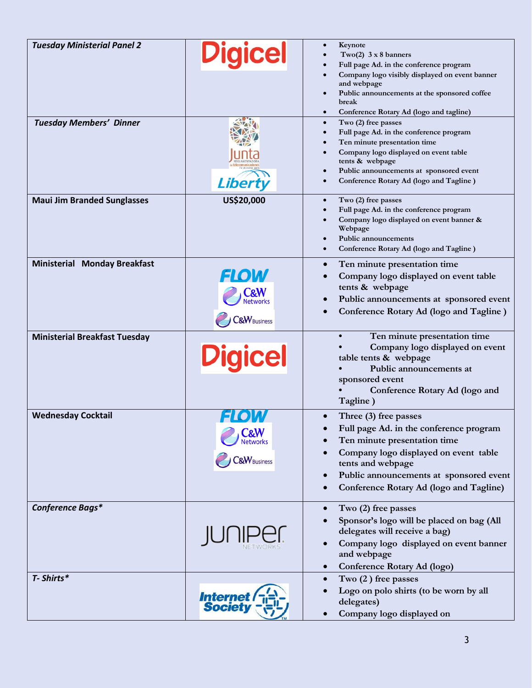| <b>Tuesday Ministerial Panel 2</b>   | <b>Digicel</b>                                            | Keynote<br>Two(2) $3 \times 8$ banners<br>Full page Ad. in the conference program<br>Company logo visibly displayed on event banner<br>and webpage<br>Public announcements at the sponsored coffee<br>break<br>Conference Rotary Ad (logo and tagline)<br>$\bullet$        |
|--------------------------------------|-----------------------------------------------------------|----------------------------------------------------------------------------------------------------------------------------------------------------------------------------------------------------------------------------------------------------------------------------|
| <b>Tuesday Members' Dinner</b>       | <b>Liberty</b>                                            | Two (2) free passes<br>$\bullet$<br>Full page Ad. in the conference program<br>$\bullet$<br>Ten minute presentation time<br>Company logo displayed on event table<br>tents & webpage<br>Public announcements at sponsored event<br>Conference Rotary Ad (logo and Tagline) |
| <b>Maui Jim Branded Sunglasses</b>   | US\$20,000                                                | Two (2) free passes<br>$\bullet$<br>Full page Ad. in the conference program<br>Company logo displayed on event banner &<br>Webpage<br><b>Public announcements</b><br>Conference Rotary Ad (logo and Tagline)                                                               |
| <b>Ministerial Monday Breakfast</b>  | <b>FLOW</b><br><b>letworks</b><br><b>C&amp;W</b> Business | Ten minute presentation time<br>Company logo displayed on event table<br>tents & webpage<br>Public announcements at sponsored event<br>Conference Rotary Ad (logo and Tagline)                                                                                             |
| <b>Ministerial Breakfast Tuesday</b> | <b>Digicel</b>                                            | Ten minute presentation time<br>Company logo displayed on event<br>table tents & webpage<br>Public announcements at<br>sponsored event<br>Conference Rotary Ad (logo and<br>Tagline)                                                                                       |
| <b>Wednesday Cocktail</b>            | <b>C&amp;W</b><br>&W <sub>Business</sub>                  | Three (3) free passes<br>Full page Ad. in the conference program<br>Ten minute presentation time<br>Company logo displayed on event table<br>tents and webpage<br>Public announcements at sponsored event<br>Conference Rotary Ad (logo and Tagline)                       |
| Conference Bags*                     |                                                           | Two (2) free passes<br>Sponsor's logo will be placed on bag (All<br>delegates will receive a bag)<br>Company logo displayed on event banner<br>and webpage<br>Conference Rotary Ad (logo)                                                                                  |
| T- Shirts*                           | <b>Internet</b><br>Society                                | $Two(2)$ free passes<br>Logo on polo shirts (to be worn by all<br>delegates)                                                                                                                                                                                               |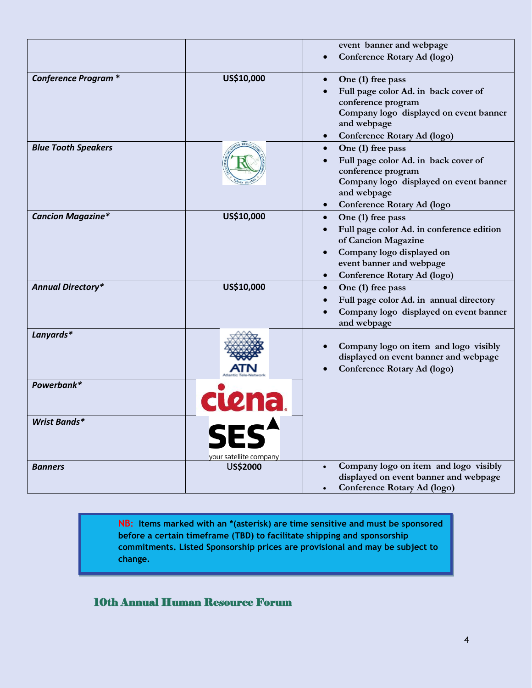|                            |                        | event banner and webpage                                                                                                                                                                   |
|----------------------------|------------------------|--------------------------------------------------------------------------------------------------------------------------------------------------------------------------------------------|
|                            |                        | Conference Rotary Ad (logo)                                                                                                                                                                |
| <b>Conference Program*</b> | US\$10,000             | One (1) free pass<br>$\bullet$<br>Full page color Ad. in back cover of<br>conference program<br>Company logo displayed on event banner<br>and webpage<br>Conference Rotary Ad (logo)       |
| <b>Blue Tooth Speakers</b> |                        | One (1) free pass<br>Full page color Ad. in back cover of<br>conference program<br>Company logo displayed on event banner<br>and webpage<br>Conference Rotary Ad (logo                     |
| <b>Cancion Magazine*</b>   | US\$10,000             | One (1) free pass<br>$\bullet$<br>Full page color Ad. in conference edition<br>of Cancion Magazine<br>Company logo displayed on<br>event banner and webpage<br>Conference Rotary Ad (logo) |
| <b>Annual Directory*</b>   | US\$10,000             | One (1) free pass<br>Full page color Ad. in annual directory<br>Company logo displayed on event banner<br>and webpage                                                                      |
| Lanyards*                  |                        | Company logo on item and logo visibly<br>displayed on event banner and webpage<br>Conference Rotary Ad (logo)                                                                              |
| Powerbank*                 | cuena.                 |                                                                                                                                                                                            |
| <b>Wrist Bands*</b>        | your satellite company |                                                                                                                                                                                            |
| <b>Banners</b>             | US\$2000               | Company logo on item and logo visibly<br>displayed on event banner and webpage<br>Conference Rotary Ad (logo)                                                                              |

 **NB: Items marked with an \*(asterisk) are time sensitive and must be sponsored before a certain timeframe (TBD) to facilitate shipping and sponsorship commitments. Listed Sponsorship prices are provisional and may be subject to change.**

## 10th Annual Human Resource Forum

l